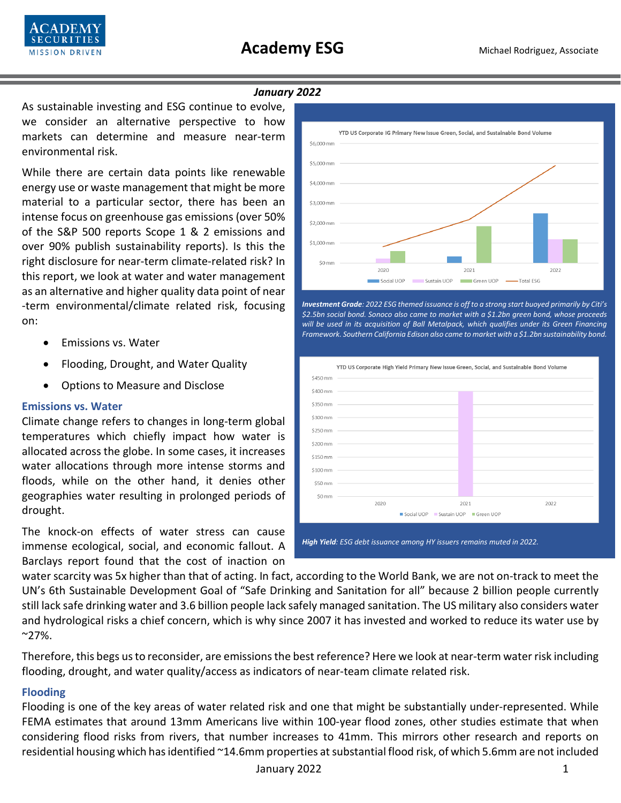

#### *January 2022*

As sustainable investing and ESG continue to evolve, we consider an alternative perspective to how markets can determine and measure near-term environmental risk.

While there are certain data points like renewable energy use or waste management that might be more material to a particular sector, there has been an intense focus on greenhouse gas emissions (over 50% of the S&P 500 reports Scope 1 & 2 emissions and over 90% publish sustainability reports). Is this the right disclosure for near-term climate-related risk? In this report, we look at water and water management as an alternative and higher quality data point of near -term environmental/climate related risk, focusing on:

- Emissions vs. Water
- Flooding, Drought, and Water Quality
- Options to Measure and Disclose

#### **Emissions vs. Water**

Climate change refers to changes in long-term global temperatures which chiefly impact how water is allocated across the globe. In some cases, it increases water allocations through more intense storms and floods, while on the other hand, it denies other geographies water resulting in prolonged periods of drought.

The knock-on effects of water stress can cause immense ecological, social, and economic fallout. A Barclays report found that the cost of inaction on



*Investment Grade: 2022 ESG themed issuance is off to a strong start buoyed primarily by Citi's \$2.5bn social bond. Sonoco also came to market with a \$1.2bn green bond, whose proceeds will be used in its acquisition of Ball Metalpack, which qualifies under its Green Financing Framework. Southern California Edison also came to market with a \$1.2bn sustainability bond.* 



*High Yield: ESG debt issuance among HY issuers remains muted in 2022.*

water scarcity was 5x higher than that of acting. In fact, according to the World Bank, we are not on-track to meet the UN's 6th Sustainable Development Goal of "Safe Drinking and Sanitation for all" because 2 billion people currently still lack safe drinking water and 3.6 billion people lack safely managed sanitation. The US military also considers water and hydrological risks a chief concern, which is why since 2007 it has invested and worked to reduce its water use by  $^{\sim}$ 27%.

Therefore, this begs us to reconsider, are emissions the best reference? Here we look at near-term water risk including flooding, drought, and water quality/access as indicators of near-team climate related risk.

#### **Flooding**

Flooding is one of the key areas of water related risk and one that might be substantially under-represented. While FEMA estimates that around 13mm Americans live within 100-year flood zones, other studies estimate that when considering flood risks from rivers, that number increases to 41mm. This mirrors other research and reports on residential housing which has identified ~14.6mm properties at substantial flood risk, of which 5.6mm are not included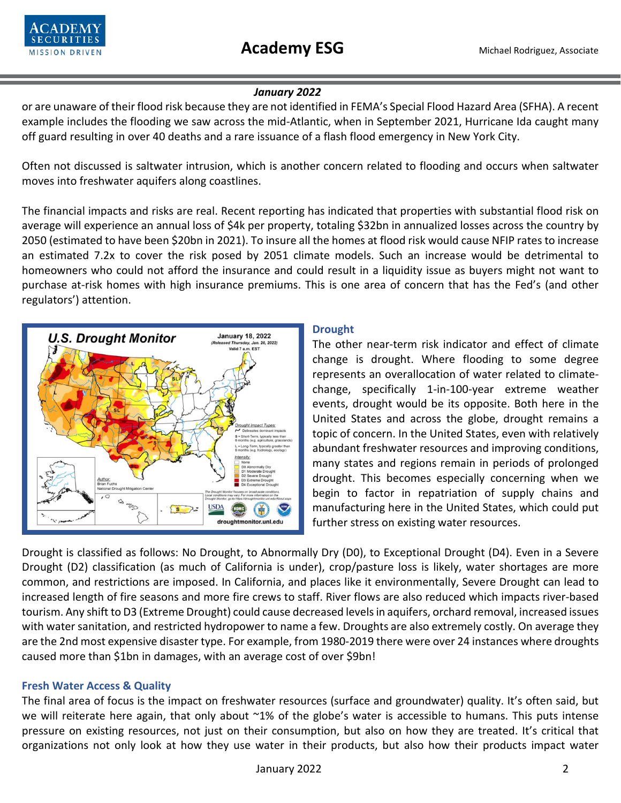

## *January 2022*

or are unaware of their flood risk because they are not identified in FEMA's Special Flood Hazard Area (SFHA). A recent example includes the flooding we saw across the mid-Atlantic, when in September 2021, Hurricane Ida caught many off guard resulting in over 40 deaths and a rare issuance of a flash flood emergency in New York City.

Often not discussed is saltwater intrusion, which is another concern related to flooding and occurs when saltwater moves into freshwater aquifers along coastlines.

The financial impacts and risks are real. Recent reporting has indicated that properties with substantial flood risk on average will experience an annual loss of \$4k per property, totaling \$32bn in annualized losses across the country by 2050 (estimated to have been \$20bn in 2021). To insure all the homes at flood risk would cause NFIP rates to increase an estimated 7.2x to cover the risk posed by 2051 climate models. Such an increase would be detrimental to homeowners who could not afford the insurance and could result in a liquidity issue as buyers might not want to purchase at-risk homes with high insurance premiums. This is one area of concern that has the Fed's (and other regulators') attention.



## **Drought**

The other near-term risk indicator and effect of climate change is drought. Where flooding to some degree represents an overallocation of water related to climatechange, specifically 1-in-100-year extreme weather events, drought would be its opposite. Both here in the United States and across the globe, drought remains a topic of concern. In the United States, even with relatively abundant freshwater resources and improving conditions, many states and regions remain in periods of prolonged drought. This becomes especially concerning when we begin to factor in repatriation of supply chains and manufacturing here in the United States, which could put further stress on existing water resources.

Drought is classified as follows: No Drought, to Abnormally Dry (D0), to Exceptional Drought (D4). Even in a Severe Drought (D2) classification (as much of California is under), crop/pasture loss is likely, water shortages are more common, and restrictions are imposed. In California, and places like it environmentally, Severe Drought can lead to increased length of fire seasons and more fire crews to staff. River flows are also reduced which impacts river-based tourism. Any shift to D3 (Extreme Drought) could cause decreased levelsin aquifers, orchard removal, increased issues with water sanitation, and restricted hydropower to name a few. Droughts are also extremely costly. On average they are the 2nd most expensive disaster type. For example, from 1980-2019 there were over 24 instances where droughts caused more than \$1bn in damages, with an average cost of over \$9bn!

# **Fresh Water Access & Quality**

The final area of focus is the impact on freshwater resources (surface and groundwater) quality. It's often said, but we will reiterate here again, that only about ~1% of the globe's water is accessible to humans. This puts intense pressure on existing resources, not just on their consumption, but also on how they are treated. It's critical that organizations not only look at how they use water in their products, but also how their products impact water